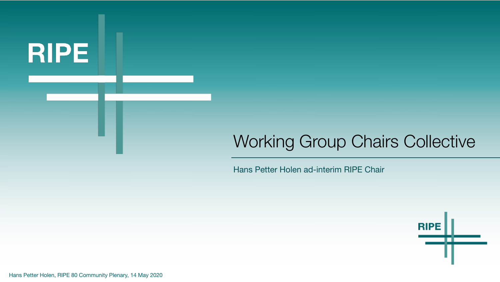

# Working Group Chairs Collective

Hans Petter Holen ad-interim RIPE Chair



Hans Petter Holen, RIPE 80 Community Plenary, 14 May 2020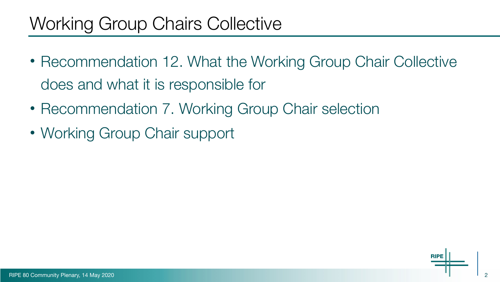# Working Group Chairs Collective

- Recommendation 12. What the Working Group Chair Collective does and what it is responsible for
- Recommendation 7. Working Group Chair selection
- Working Group Chair support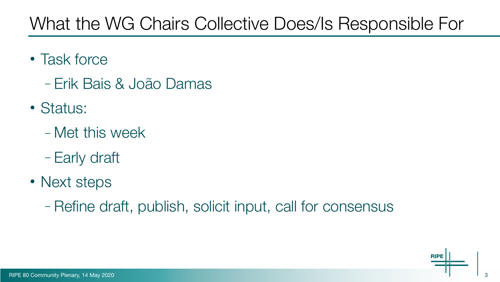# What the WG Chairs Collective Does/Is Responsible For

- Task force
	- Erik Bais & João Damas
- Status:
	- Met this week
	- Early draft
- Next steps
	- Refine draft, publish, solicit input, call for consensus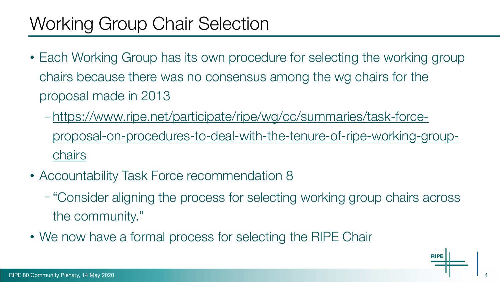# Working Group Chair Selection

- Each Working Group has its own procedure for selecting the working group chairs because there was no consensus among the wg chairs for the proposal made in 2013
	- [https://www.ripe.net/participate/ripe/wg/cc/summaries/task-force](https://www.ripe.net/participate/ripe/wg/cc/summaries/task-force-proposal-on-procedures-to-deal-with-the-tenure-of-ripe-working-group-chairs)[proposal-on-procedures-to-deal-with-the-tenure-of-ripe-working-group](https://www.ripe.net/participate/ripe/wg/cc/summaries/task-force-proposal-on-procedures-to-deal-with-the-tenure-of-ripe-working-group-chairs)[chairs](https://www.ripe.net/participate/ripe/wg/cc/summaries/task-force-proposal-on-procedures-to-deal-with-the-tenure-of-ripe-working-group-chairs)
- Accountability Task Force recommendation 8
	- "Consider aligning the process for selecting working group chairs across the community."
- We now have a formal process for selecting the RIPE Chair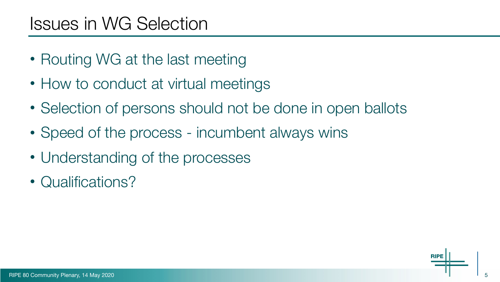## Issues in WG Selection

- Routing WG at the last meeting
- How to conduct at virtual meetings
- Selection of persons should not be done in open ballots
- Speed of the process incumbent always wins
- Understanding of the processes
- Qualifications?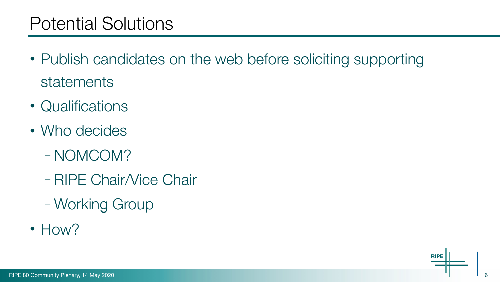## Potential Solutions

- Publish candidates on the web before soliciting supporting statements
- Qualifications
- Who decides
	- NOMCOM?
	- RIPE Chair/Vice Chair
	- Working Group
- How?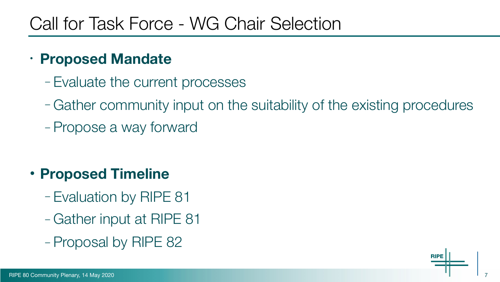## Call for Task Force - WG Chair Selection

#### **• Proposed Mandate**

- Evaluate the current processes
- Gather community input on the suitability of the existing procedures
- Propose a way forward

#### • **Proposed Timeline**

- Evaluation by RIPE 81
- Gather input at RIPE 81
- Proposal by RIPE 82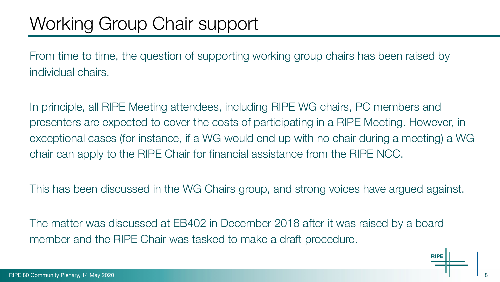From time to time, the question of supporting working group chairs has been raised by individual chairs.

In principle, all RIPE Meeting attendees, including RIPE WG chairs, PC members and presenters are expected to cover the costs of participating in a RIPE Meeting. However, in exceptional cases (for instance, if a WG would end up with no chair during a meeting) a WG chair can apply to the RIPE Chair for financial assistance from the RIPE NCC.

This has been discussed in the WG Chairs group, and strong voices have argued against.

The matter was discussed at EB402 in December 2018 after it was raised by a board member and the RIPE Chair was tasked to make a draft procedure.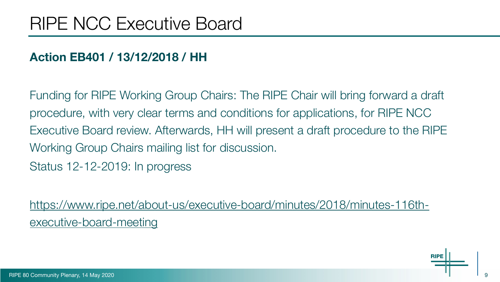#### **Action EB401 / 13/12/2018 / HH**

Funding for RIPE Working Group Chairs: The RIPE Chair will bring forward a draft procedure, with very clear terms and conditions for applications, for RIPE NCC Executive Board review. Afterwards, HH will present a draft procedure to the RIPE Working Group Chairs mailing list for discussion. Status 12-12-2019: In progress

[https://www.ripe.net/about-us/executive-board/minutes/2018/minutes-116th](https://www.ripe.net/about-us/executive-board/minutes/2018/minutes-116th-executive-board-meeting)[executive-board-meeting](https://www.ripe.net/about-us/executive-board/minutes/2018/minutes-116th-executive-board-meeting)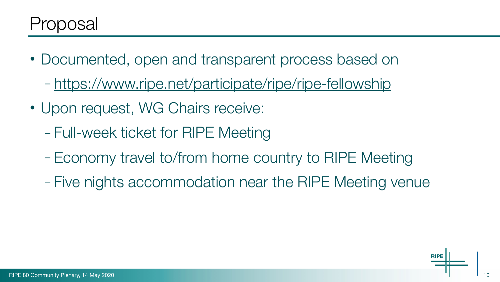- Documented, open and transparent process based on
	- <https://www.ripe.net/participate/ripe/ripe-fellowship>
- Upon request, WG Chairs receive:
	- Full-week ticket for RIPE Meeting
	- Economy travel to/from home country to RIPE Meeting
	- Five nights accommodation near the RIPE Meeting venue